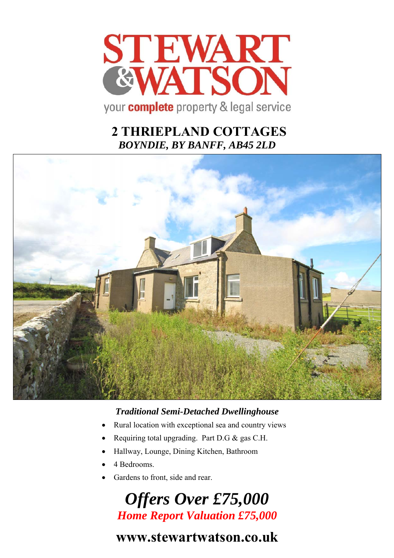

# **2 THRIEPLAND COTTAGES**  *BOYNDIE, BY BANFF, AB45 2LD*



## *Traditional Semi-Detached Dwellinghouse*

- Rural location with exceptional sea and country views
- Requiring total upgrading. Part D.G & gas C.H.
- Hallway, Lounge, Dining Kitchen, Bathroom
- 4 Bedrooms.
- Gardens to front, side and rear.

# *Offers Over £75,000 Home Report Valuation £75,000*

# **www.stewartwatson.co.uk**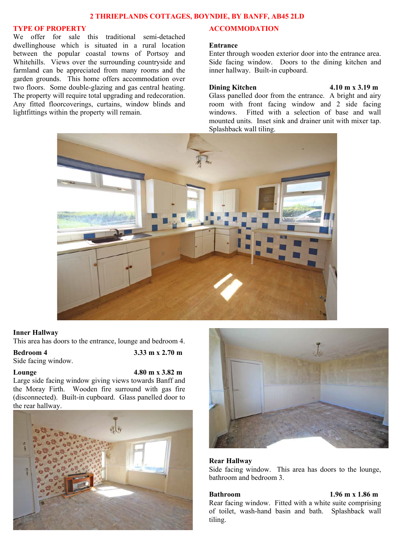### **2 THRIEPLANDS COTTAGES, BOYNDIE, BY BANFF, AB45 2LD**

### **TYPE OF PROPERTY**

We offer for sale this traditional semi-detached dwellinghouse which is situated in a rural location between the popular coastal towns of Portsoy and Whitehills. Views over the surrounding countryside and farmland can be appreciated from many rooms and the garden grounds. This home offers accommodation over two floors. Some double-glazing and gas central heating. The property will require total upgrading and redecoration. Any fitted floorcoverings, curtains, window blinds and lightfittings within the property will remain.

### **ACCOMMODATION**

### **Entrance**

Enter through wooden exterior door into the entrance area. Side facing window. Doors to the dining kitchen and inner hallway. Built-in cupboard.

### **Dining Kitchen 4.10 m x 3.19 m**

Glass panelled door from the entrance. A bright and airy room with front facing window and 2 side facing windows. Fitted with a selection of base and wall mounted units. Inset sink and drainer unit with mixer tap. Splashback wall tiling.



### **Inner Hallway**

This area has doors to the entrance, lounge and bedroom 4.

## **Bedroom 4 3.33 m x 2.70 m**

Side facing window.

**Lounge 4.80 m x 3.82 m**

Large side facing window giving views towards Banff and the Moray Firth. Wooden fire surround with gas fire (disconnected). Built-in cupboard. Glass panelled door to the rear hallway.





### **Rear Hallway**

Side facing window. This area has doors to the lounge, bathroom and bedroom 3.

### **Bathroom 1.96 m x 1.86 m**

Rear facing window. Fitted with a white suite comprising of toilet, wash-hand basin and bath. Splashback wall tiling.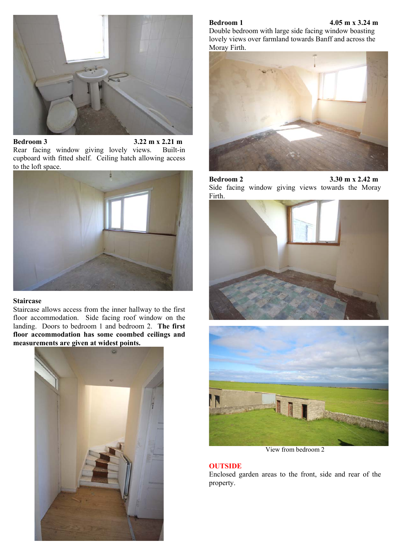

**Bedroom 3 3.22 m x 2.21 m** Rear facing window giving lovely views. Built-in cupboard with fitted shelf. Ceiling hatch allowing access to the loft space.



### **Staircase**

Staircase allows access from the inner hallway to the first floor accommodation. Side facing roof window on the landing. Doors to bedroom 1 and bedroom 2. **The first floor accommodation has some coombed ceilings and measurements are given at widest points.** 



### **Bedroom 1 4.05 m x 3.24 m**

Double bedroom with large side facing window boasting lovely views over farmland towards Banff and across the Moray Firth.



**Bedroom 2 3.30 m x 2.42 m** Side facing window giving views towards the Moray Firth.





View from bedroom 2

### **OUTSIDE**

Enclosed garden areas to the front, side and rear of the property.